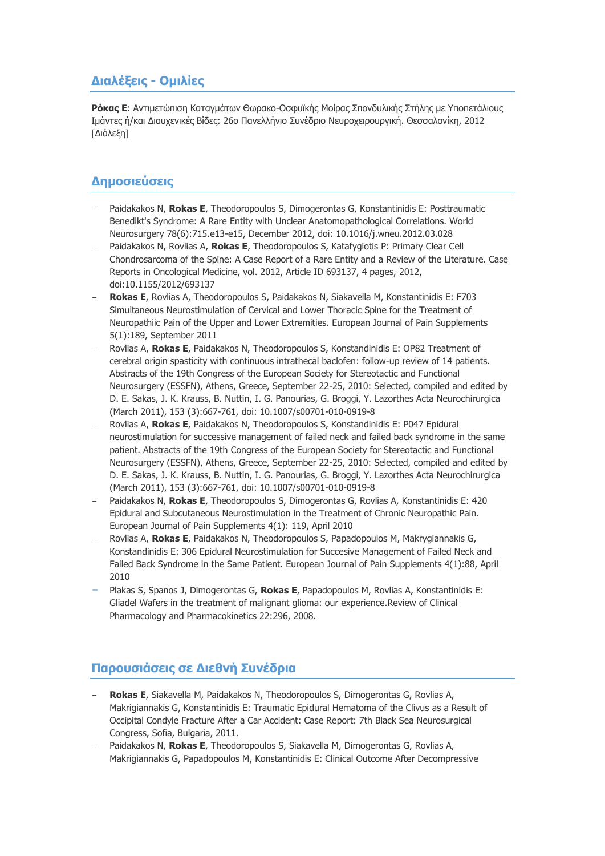## **Διαλέξεις - Ομιλίες**

**Ρόκας Ε**: Αντιμετώπιση Καταγμάτων Θωρακο-Οσφυϊκής Μοίρας Σπονδυλικής Στήλης με Υποπετάλιους Ιμάντες ή/και Διαυχενικές Βίδες: 26ο Πανελλήνιο Συνέδριο Νευροχειρουργική. Θεσσαλονίκη, 2012 [Διάλεξη]

## **Δημοσιεύσεις**

- Paidakakos N, **Rokas E**, Theodoropoulos S, Dimogerontas G, Konstantinidis E: Posttraumatic Benedikt's Syndrome: A Rare Entity with Unclear Anatomopathological Correlations. World Neurosurgery 78(6):715.e13-e15, December 2012, doi: 10.1016/j.wneu.2012.03.028
- Paidakakos N, Rovlias A, **Rokas E**, Theodoropoulos S, Katafygiotis P: Primary Clear Cell Chondrosarcoma of the Spine: A Case Report of a Rare Entity and a Review of the Literature. Case Reports in Oncological Medicine, vol. 2012, Article ID 693137, 4 pages, 2012, doi:10.1155/2012/693137
- **Rokas E**, Rovlias A, Theodoropoulos S, Paidakakos N, Siakavella M, Konstantinidis E: F703 Simultaneous Neurostimulation of Cervical and Lower Thoracic Spine for the Treatment of Neuropathiic Pain of the Upper and Lower Extremities. European Journal of Pain Supplements 5(1):189, September 2011
- Rovlias A, **Rokas E**, Paidakakos N, Theodoropoulos S, Konstandinidis E: OP82 Treatment of cerebral origin spasticity with continuous intrathecal baclofen: follow-up review of 14 patients. Abstracts of the 19th Congress of the European Society for Stereotactic and Functional Neurosurgery (ESSFN), Athens, Greece, September 22-25, 2010: Selected, compiled and edited by D. E. Sakas, J. K. Krauss, B. Nuttin, I. G. Panourias, G. Broggi, Y. Lazorthes Acta Neurochirurgica (March 2011), 153 (3):667-761, doi: 10.1007/s00701-010-0919-8
- Rovlias A, **Rokas E**, Paidakakos N, Theodoropoulos S, Konstandinidis E: P047 Epidural neurostimulation for successive management of failed neck and failed back syndrome in the same patient. Abstracts of the 19th Congress of the European Society for Stereotactic and Functional Neurosurgery (ESSFN), Athens, Greece, September 22-25, 2010: Selected, compiled and edited by D. E. Sakas, J. K. Krauss, B. Nuttin, I. G. Panourias, G. Broggi, Y. Lazorthes Acta Neurochirurgica (March 2011), 153 (3):667-761, doi: 10.1007/s00701-010-0919-8
- Paidakakos N, **Rokas E**, Theodoropoulos S, Dimogerontas G, Rovlias A, Konstantinidis E: 420 Epidural and Subcutaneous Neurostimulation in the Treatment of Chronic Neuropathic Pain. European Journal of Pain Supplements 4(1): 119, April 2010
- Rovlias A, **Rokas E**, Paidakakos N, Theodoropoulos S, Papadopoulos M, Makrygiannakis G, Konstandinidis E: 306 Epidural Neurostimulation for Succesive Management of Failed Neck and Failed Back Syndrome in the Same Patient. European Journal of Pain Supplements 4(1):88, April 2010
- Plakas S, Spanos J, Dimogerontas G, **Rokas E**, Papadopoulos M, Rovlias A, Konstantinidis E: Gliadel Wafers in the treatment of malignant glioma: our experience.Review of Clinical Pharmacology and Pharmacokinetics 22:296, 2008.

## **Παρουσιάσεις σε Διεθνή Συνέδρια**

- **Rokas E**, Siakavella M, Paidakakos N, Theodoropoulos S, Dimogerontas G, Rovlias A, Makrigiannakis G, Konstantinidis E: Traumatic Epidural Hematoma of the Clivus as a Result of Occipital Condyle Fracture After a Car Accident: Case Report: 7th Black Sea Neurosurgical Congress, Sofia, Bulgaria, 2011.
- Paidakakos N, **Rokas E**, Theodoropoulos S, Siakavella M, Dimogerontas G, Rovlias A, Makrigiannakis G, Papadopoulos M, Konstantinidis E: Clinical Outcome After Decompressive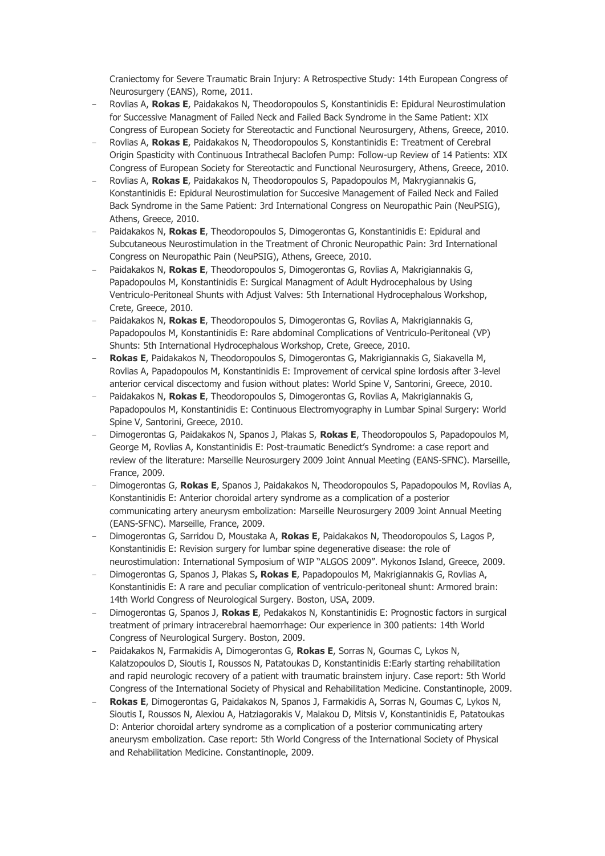Craniectomy for Severe Traumatic Brain Injury: A Retrospective Study: 14th European Congress of Neurosurgery (EANS), Rome, 2011.

- Rovlias A, **Rokas E**, Paidakakos N, Theodoropoulos S, Konstantinidis E: Epidural Neurostimulation for Successive Managment of Failed Neck and Failed Back Syndrome in the Same Patient: XIX Congress of European Society for Stereotactic and Functional Neurosurgery, Athens, Greece, 2010.
- Rovlias A, **Rokas E**, Paidakakos N, Theodoropoulos S, Konstantinidis E: Treatment of Cerebral Origin Spasticity with Continuous Intrathecal Baclofen Pump: Follow-up Review of 14 Patients: XIX Congress of European Society for Stereotactic and Functional Neurosurgery, Athens, Greece, 2010.
- Rovlias A, **Rokas E**, Paidakakos N, Theodoropoulos S, Papadopoulos M, Makrygiannakis G, Konstantinidis E: Epidural Neurostimulation for Succesive Management of Failed Neck and Failed Back Syndrome in the Same Patient: 3rd International Congress on Neuropathic Pain (NeuPSIG), Athens, Greece, 2010.
- Paidakakos N, **Rokas E**, Theodoropoulos S, Dimogerontas G, Konstantinidis E: Epidural and Subcutaneous Neurostimulation in the Treatment of Chronic Neuropathic Pain: 3rd International Congress on Neuropathic Pain (NeuPSIG), Athens, Greece, 2010.
- Paidakakos N, **Rokas E**, Theodoropoulos S, Dimogerontas G, Rovlias A, Makrigiannakis G, Papadopoulos M, Konstantinidis E: Surgical Managment of Adult Hydrocephalous by Using Ventriculo-Peritoneal Shunts with Adjust Valves: 5th International Hydrocephalous Workshop, Crete, Greece, 2010.
- Paidakakos N, **Rokas E**, Theodoropoulos S, Dimogerontas G, Rovlias A, Makrigiannakis G, Papadopoulos M, Konstantinidis E: Rare abdominal Complications of Ventriculo-Peritoneal (VP) Shunts: 5th International Hydrocephalous Workshop, Crete, Greece, 2010.
- **Rokas E**, Paidakakos N, Theodoropoulos S, Dimogerontas G, Makrigiannakis G, Siakavella M, Rovlias A, Papadopoulos M, Konstantinidis E: Improvement of cervical spine lordosis after 3-level anterior cervical discectomy and fusion without plates: World Spine V, Santorini, Greece, 2010.
- Paidakakos N, **Rokas E**, Theodoropoulos S, Dimogerontas G, Rovlias A, Makrigiannakis G, Papadopoulos M, Konstantinidis E: Continuous Electromyography in Lumbar Spinal Surgery: World Spine V, Santorini, Greece, 2010.
- Dimogerontas G, Paidakakos N, Spanos J, Plakas S, **Rokas E**, Theodoropoulos S, Papadopoulos M, George M, Rovlias A, Konstantinidis E: Post-traumatic Benedict's Syndrome: a case report and review of the literature: Marseille Neurosurgery 2009 Joint Annual Meeting (EANS-SFNC). Marseille, France, 2009.
- Dimogerontas G, **Rokas E**, Spanos J, Paidakakos N, Theodoropoulos S, Papadopoulos M, Rovlias A, Konstantinidis E: Anterior choroidal artery syndrome as a complication of a posterior communicating artery aneurysm embolization: Marseille Neurosurgery 2009 Joint Annual Meeting (EANS-SFNC). Marseille, France, 2009.
- Dimogerontas G, Sarridou D, Moustaka A, **Rokas E**, Paidakakos N, Theodoropoulos S, Lagos P, Konstantinidis E: Revision surgery for lumbar spine degenerative disease: the role of neurostimulation: International Symposium of WIP "ALGOS 2009". Mykonos Island, Greece, 2009.
- Dimogerontas G, Spanos J, Plakas S**, Rokas E**, Papadopoulos M, Makrigiannakis G, Rovlias A, Konstantinidis E: A rare and peculiar complication of ventriculo-peritoneal shunt: Armored brain: 14th World Congress of Neurological Surgery. Boston, USA, 2009.
- Dimogerontas G, Spanos J, **Rokas E**, Pedakakos N, Konstantinidis E: Prognostic factors in surgical treatment of primary intracerebral haemorrhage: Our experience in 300 patients: 14th World Congress of Neurological Surgery. Boston, 2009.
- Paidakakos N, Farmakidis A, Dimogerontas G, **Rokas E**, Sorras N, Goumas C, Lykos N, Kalatzopoulos D, Sioutis I, Roussos N, Patatoukas D, Konstantinidis E:Early starting rehabilitation and rapid neurologic recovery of a patient with traumatic brainstem injury. Case report: 5th World Congress of the International Society of Physical and Rehabilitation Medicine. Constantinople, 2009.
- **Rokas E**, Dimogerontas G, Paidakakos N, Spanos J, Farmakidis A, Sorras N, Goumas C, Lykos N, Sioutis I, Roussos N, Alexiou A, Hatziagorakis V, Malakou D, Mitsis V, Konstantinidis E, Patatoukas D: Anterior choroidal artery syndrome as a complication of a posterior communicating artery aneurysm embolization. Case report: 5th World Congress of the International Society of Physical and Rehabilitation Medicine. Constantinople, 2009.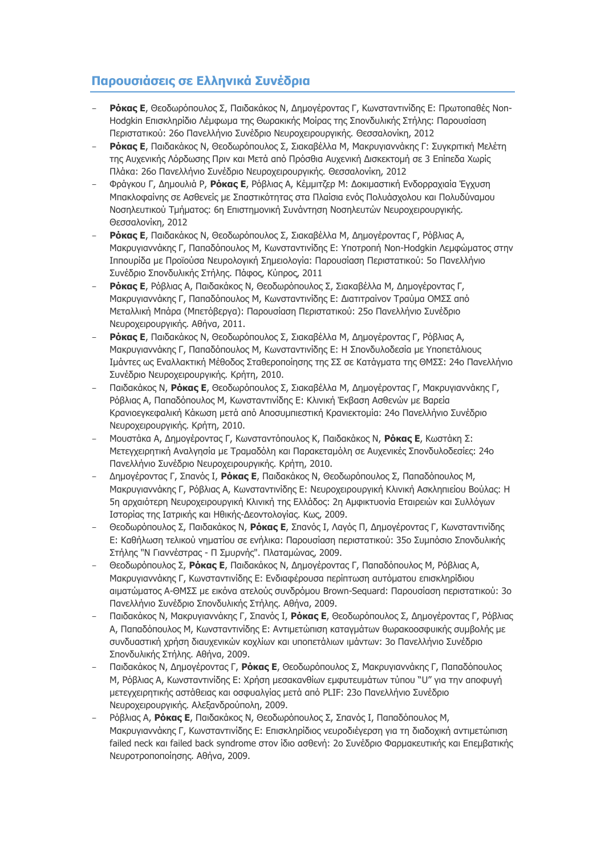## **Παρουσιάσεις σε Ελληνικά Συνέδρια**

- **Ρόκας Ε**, Θεοδωρόπουλος Σ, Παιδακάκος Ν, Δημογέροντας Γ, Κωνσταντινίδης Ε: Πρωτοπαθές Non-Hodgkin Επισκληρίδιο Λέμφωμα της Θωρακικής Μοίρας της Σπονδυλικής Στήλης: Παρουσίαση Περιστατικού: 26ο Πανελλήνιο Συνέδριο Νευροχειρουργικής. Θεσσαλονίκη, 2012
- **Ρόκας Ε**, Παιδακάκος Ν, Θεοδωρόπουλος Σ, Σιακαβέλλα Μ, Μακρυγιαννάκης Γ: Συγκριτική Μελέτη της Αυχενικής Λόρδωσης Πριν και Μετά από Πρόσθια Αυχενική Δισκεκτομή σε 3 Επίπεδα Χωρίς Πλάκα: 26ο Πανελλήνιο Συνέδριο Νευροχειρουργικής. Θεσσαλονίκη, 2012
- Φράγκου Γ, Δημουλιά Ρ, **Ρόκας Ε**, Ρόβλιας Α, Κέμμιτζερ Μ: Δοκιμαστική Ενδορραχιαία Έγχυση Μπακλοφαίνης σε Ασθενείς με Σπαστικότητας στα Πλαίσια ενός Πολυάσχολου και Πολυδύναμου Νοσηλευτικού Τμήματος: 6η Επιστημονική Συνάντηση Νοσηλευτών Νευροχειρουργικής. Θεσσαλονίκη, 2012
- **Ρόκας Ε**, Παιδακάκος Ν, Θεοδωρόπουλος Σ, Σιακαβέλλα Μ, Δημογέροντας Γ, Ρόβλιας Α, Μακρυγιαννάκης Γ, Παπαδόπουλος Μ, Κωνσταντινίδης Ε: Υποτροπή Non-Hodgkin Λεμφώματος στην Ιππουρίδα με Προϊούσα Νευρολογική Σημειολογία: Παρουσίαση Περιστατικού: 5ο Πανελλήνιο Συνέδριο Σπονδυλικής Στήλης. Πάφος, Κύπρος, 2011
- **Ρόκας Ε**, Ρόβλιας Α, Παιδακάκος Ν, Θεοδωρόπουλος Σ, Σιακαβέλλα Μ, Δημογέροντας Γ, Μακρυγιαννάκης Γ, Παπαδόπουλος Μ, Κωνσταντινίδης Ε: Διατιτραίνον Τραύμα ΟΜΣΣ από Μεταλλική Μπάρα (Μπετόβεργα): Παρουσίαση Περιστατικού: 25ο Πανελλήνιο Συνέδριο Νευροχειρουργικής. Αθήνα, 2011.
- **Ρόκας Ε**, Παιδακάκος Ν, Θεοδωρόπουλος Σ, Σιακαβέλλα Μ, Δημογέροντας Γ, Ρόβλιας Α, Μακρυγιαννάκης Γ, Παπαδόπουλος Μ, Κωνσταντινίδης Ε: Η Σπονδυλοδεσία με Υποπετάλιους Ιμάντες ως Εναλλακτική Μέθοδος Σταθεροποίησης της ΣΣ σε Κατάγματα της ΘΜΣΣ: 24ο Πανελλήνιο Συνέδριο Νευροχειρουργικής. Κρήτη, 2010.
- Παιδακάκος Ν, **Ρόκας Ε**, Θεοδωρόπουλος Σ, Σιακαβέλλα Μ, Δημογέροντας Γ, Μακρυγιαννάκης Γ, Ρόβλιας Α, Παπαδόπουλος Μ, Κωνσταντινίδης Ε: Κλινική Έκβαση Ασθενών με Βαρεία Κρανιοεγκεφαλική Κάκωση μετά από Αποσυμπιεστική Κρανιεκτομία: 24ο Πανελλήνιο Συνέδριο Νευροχειρουργικής. Κρήτη, 2010.
- Μουστάκα Α, Δημογέροντας Γ, Κωνσταντόπουλος Κ, Παιδακάκος Ν, **Ρόκας Ε**, Κωστάκη Σ: Μετεγχειρητική Αναλγησία με Τραμαδόλη και Παρακεταμόλη σε Αυχενικές Σπονδυλοδεσίες: 24ο Πανελλήνιο Συνέδριο Νευροχειρουργικής. Κρήτη, 2010.
- Δημογέροντας Γ, Σπανός Ι, **Ρόκας Ε**, Παιδακάκος Ν, Θεοδωρόπουλος Σ, Παπαδόπουλος Μ, Μακρυγιαννάκης Γ, Ρόβλιας Α, Κωνσταντινίδης Ε: Νευροχειρουργική Κλινική Ασκληπιείου Βούλας: Η 5η αρχαιότερη Νευροχειρουργική Κλινική της Ελλάδος: 2η Αμφικτυονία Εταιρειών και Συλλόγων Ιστορίας της Ιατρικής και Ηθικής-Δεοντολογίας. Κως, 2009.
- Θεοδωρόπουλος Σ, Παιδακάκος Ν, **Ρόκας Ε**, Σπανός Ι, Λαγός Π, Δημογέροντας Γ, Κωνσταντινίδης Ε: Καθήλωση τελικού νηματίου σε ενήλικα: Παρουσίαση περιστατικού: 35ο Συμπόσιο Σπονδυλικής Στήλης "Ν Γιαννέστρας - Π Σμυρνής". Πλαταμώνας, 2009.
- Θεοδωρόπουλος Σ, **Ρόκας Ε**, Παιδακάκος Ν, Δημογέροντας Γ, Παπαδόπουλος Μ, Ρόβλιας Α, Μακρυγιαννάκης Γ, Κωνσταντινίδης Ε: Ενδιαφέρουσα περίπτωση αυτόματου επισκληρίδιου αιματώματος Α-ΘΜΣΣ με εικόνα ατελούς συνδρόμου Brown-Sequard: Παρουσίαση περιστατικού: 3ο Πανελλήνιο Συνέδριο Σπονδυλικής Στήλης. Αθήνα, 2009.
- Παιδακάκος Ν, Μακρυγιαννάκης Γ, Σπανός Ι, **Ρόκας Ε**, Θεοδωρόπουλος Σ, Δημογέροντας Γ, Ρόβλιας Α, Παπαδόπουλος Μ, Κωνσταντινίδης Ε: Αντιμετώπιση καταγμάτων θωρακοοσφυικής συμβολής με συνδυαστική χρήση διαυχενικών κοχλίων και υποπετάλιων ιμάντων: 3ο Πανελλήνιο Συνέδριο Σπονδυλικής Στήλης. Αθήνα, 2009.
- Παιδακάκος Ν, Δημογέροντας Γ, **Ρόκας Ε**, Θεοδωρόπουλος Σ, Μακρυγιαννάκης Γ, Παπαδόπουλος Μ, Ρόβλιας Α, Κωνσταντινίδης Ε: Χρήση μεσακανθίων εμφυτευμάτων τύπου "U" για την αποφυγή μετεγχειρητικής αστάθειας και οσφυαλγίας μετά από PLIF: 23ο Πανελλήνιο Συνέδριο Νευροχειρουργικής. Αλεξανδρούπολη, 2009.
- Ρόβλιας Α, **Ρόκας Ε**, Παιδακάκος Ν, Θεοδωρόπουλος Σ, Σπανός Ι, Παπαδόπουλος Μ, Μακρυγιαννάκης Γ, Κωνσταντινίδης Ε: Επισκληρίδιος νευροδιέγερση για τη διαδοχική αντιμετώπιση failed neck και failed back syndrome στον ίδιο ασθενή: 2ο Συνέδριο Φαρμακευτικής και Επεμβατικής Νευροτροποποίησης. Αθήνα, 2009.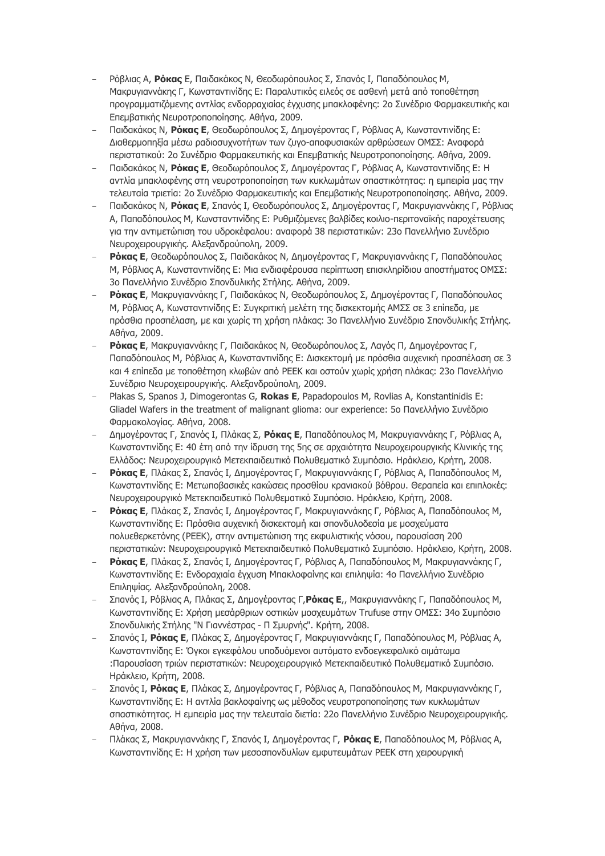- Ρόβλιας Α, **Ρόκας** Ε, Παιδακάκος Ν, Θεοδωρόπουλος Σ, Σπανός Ι, Παπαδόπουλος Μ, Μακρυγιαννάκης Γ, Κωνσταντινίδης Ε: Παραλυτικός ειλεός σε ασθενή μετά από τοποθέτηση προγραμματιζόμενης αντλίας ενδορραχιαίας έγχυσης μπακλοφένης: 2ο Συνέδριο Φαρμακευτικής και Επεμβατικής Νευροτροποποίησης. Αθήνα, 2009.
- Παιδακάκος Ν, **Ρόκας Ε**, Θεοδωρόπουλος Σ, Δημογέροντας Γ, Ρόβλιας Α, Κωνσταντινίδης Ε: Διαθερμοπηξία μέσω ραδιοσυχνοτήτων των ζυγο-αποφυσιακών αρθρώσεων ΟΜΣΣ: Αναφορά περιστατικού: 2ο Συνέδριο Φαρμακευτικής και Επεμβατικής Νευροτροποποίησης. Αθήνα, 2009.
- Παιδακάκος Ν, **Ρόκας Ε**, Θεοδωρόπουλος Σ, Δημογέροντας Γ, Ρόβλιας Α, Κωνσταντινίδης Ε: Η αντλία μπακλοφένης στη νευροτροποποίηση των κυκλωμάτων σπαστικότητας: η εμπειρία μας την τελευταία τριετία: 2ο Συνέδριο Φαρμακευτικής και Επεμβατικής Νευροτροποποίησης. Αθήνα, 2009.
- Παιδακάκος Ν, **Ρόκας Ε**, Σπανός Ι, Θεοδωρόπουλος Σ, Δημογέροντας Γ, Μακρυγιαννάκης Γ, Ρόβλιας Α, Παπαδόπουλος Μ, Κωνσταντινίδης Ε: Ρυθμιζόμενες βαλβίδες κοιλιο-περιτοναϊκής παροχέτευσης για την αντιμετώπιση του υδροκέφαλου: αναφορά 38 περιστατικών: 23ο Πανελλήνιο Συνέδριο Νευροχειρουργικής. Αλεξανδρούπολη, 2009.
- **Ρόκας Ε**, Θεοδωρόπουλος Σ, Παιδακάκος Ν, Δημογέροντας Γ, Μακρυγιαννάκης Γ, Παπαδόπουλος Μ, Ρόβλιας Α, Κωνσταντινίδης Ε: Μια ενδιαφέρουσα περίπτωση επισκληρίδιου αποστήματος ΟΜΣΣ: 3ο Πανελλήνιο Συνέδριο Σπονδυλικής Στήλης. Αθήνα, 2009.
- **Ρόκας Ε**, Μακρυγιαννάκης Γ, Παιδακάκος Ν, Θεοδωρόπουλος Σ, Δημογέροντας Γ, Παπαδόπουλος Μ, Ρόβλιας Α, Κωνσταντινίδης Ε: Συγκριτική μελέτη της δισκεκτομής ΑΜΣΣ σε 3 επίπεδα, με πρόσθια προσπέλαση, με και χωρίς τη χρήση πλάκας: 3ο Πανελλήνιο Συνέδριο Σπονδυλικής Στήλης. Αθήνα, 2009.
- **Ρόκας Ε**, Μακρυγιαννάκης Γ, Παιδακάκος Ν, Θεοδωρόπουλος Σ, Λαγός Π, Δημογέροντας Γ, Παπαδόπουλος Μ, Ρόβλιας Α, Κωνσταντινίδης Ε: Δισκεκτομή με πρόσθια αυχενική προσπέλαση σε 3 και 4 επίπεδα με τοποθέτηση κλωβών από PEEK και οστούν χωρίς χρήση πλάκας: 23ο Πανελλήνιο Συνέδριο Νευροχειρουργικής. Αλεξανδρούπολη, 2009.
- Plakas S, Spanos J, Dimogerontas G, **Rokas E**, Papadopoulos M, Rovlias A, Konstantinidis E: Gliadel Wafers in the treatment of malignant glioma: our experience: 5o Πανελλήνιο Συνέδριο Φαρμακολογίας. Αθήνα, 2008.
- Δημογέροντας Γ, Σπανός Ι, Πλάκας Σ, **Ρόκας Ε**, Παπαδόπουλος Μ, Μακρυγιαννάκης Γ, Ρόβλιας Α, Κωνσταντινίδης Ε: 40 έτη από την ίδρυση της 5ης σε αρχαιότητα Νευροχειρουργικής Κλινικής της Ελλάδος: Νευροχειρουργικό Μετεκπαιδευτικό Πολυθεματικό Συμπόσιο. Ηράκλειο, Κρήτη, 2008.
- **Ρόκας Ε**, Πλάκας Σ, Σπανός Ι, Δημογέροντας Γ, Μακρυγιαννάκης Γ, Ρόβλιας Α, Παπαδόπουλος Μ, Κωνσταντινίδης Ε: Μετωποβασικές κακώσεις προσθίου κρανιακού βόθρου. Θεραπεία και επιπλοκές: Νευροχειρουργικό Μετεκπαιδευτικό Πολυθεματικό Συμπόσιο. Ηράκλειο, Κρήτη, 2008.
- **Ρόκας Ε**, Πλάκας Σ, Σπανός Ι, Δημογέροντας Γ, Μακρυγιαννάκης Γ, Ρόβλιας Α, Παπαδόπουλος Μ, Κωνσταντινίδης Ε: Πρόσθια αυχενική δισκεκτομή και σπονδυλοδεσία με μοσχεύματα πολυεθερκετόνης (PEEK), στην αντιμετώπιση της εκφυλιστικής νόσου, παρουσίαση 200 περιστατικών: Νευροχειρουργικό Μετεκπαιδευτικό Πολυθεματικό Συμπόσιο. Ηράκλειο, Κρήτη, 2008.
- **Ρόκας Ε**, Πλάκας Σ, Σπανός Ι, Δημογέροντας Γ, Ρόβλιας Α, Παπαδόπουλος Μ, Μακρυγιαννάκης Γ, Κωνσταντινίδης Ε: Ενδοραχιαία έγχυση Μπακλοφαίνης και επιληψία: 4ο Πανελλήνιο Συνέδριο Επιληψίας. Αλεξανδρούπολη, 2008.
- Σπανός Ι, Ρόβλιας Α, Πλάκας Σ, Δημογέροντας Γ,**Ρόκας Ε**,, Μακρυγιαννάκης Γ, Παπαδόπουλος Μ, Κωνσταντινίδης Ε: Χρήση μεσάρθριων οστικών μοσχευμάτων Trufuse στην ΟΜΣΣ: 34ο Συμπόσιο Σπονδυλικής Στήλης "Ν Γιαννέστρας - Π Σμυρνής". Κρήτη, 2008.
- Σπανός Ι, **Ρόκας Ε**, Πλάκας Σ, Δημογέροντας Γ, Μακρυγιαννάκης Γ, Παπαδόπουλος Μ, Ρόβλιας Α, Κωνσταντινίδης Ε: Όγκοι εγκεφάλου υποδυόμενοι αυτόματο ενδοεγκεφαλικό αιμάτωμα :Παρουσίαση τριών περιστατικών: Νευροχειρουργικό Μετεκπαιδευτικό Πολυθεματικό Συμπόσιο. Ηράκλειο, Κρήτη, 2008.
- Σπανός Ι, **Ρόκας Ε**, Πλάκας Σ, Δημογέροντας Γ, Ρόβλιας Α, Παπαδόπουλος Μ, Μακρυγιαννάκης Γ, Κωνσταντινίδης Ε: Η αντλία βακλοφαίνης ως μέθοδος νευροτροποποίησης των κυκλωμάτων σπαστικότητας. Η εμπειρία μας την τελευταία διετία: 22ο Πανελλήνιο Συνέδριο Νευροχειρουργικής. Αθήνα, 2008.
- Πλάκας Σ, Μακρυγιαννάκης Γ, Σπανός Ι, Δημογέροντας Γ, **Ρόκας Ε**, Παπαδόπουλος Μ, Ρόβλιας Α, Κωνσταντινίδης Ε: Η χρήση των μεσοσπονδυλίων εμφυτευμάτων PEEK στη χειρουργική